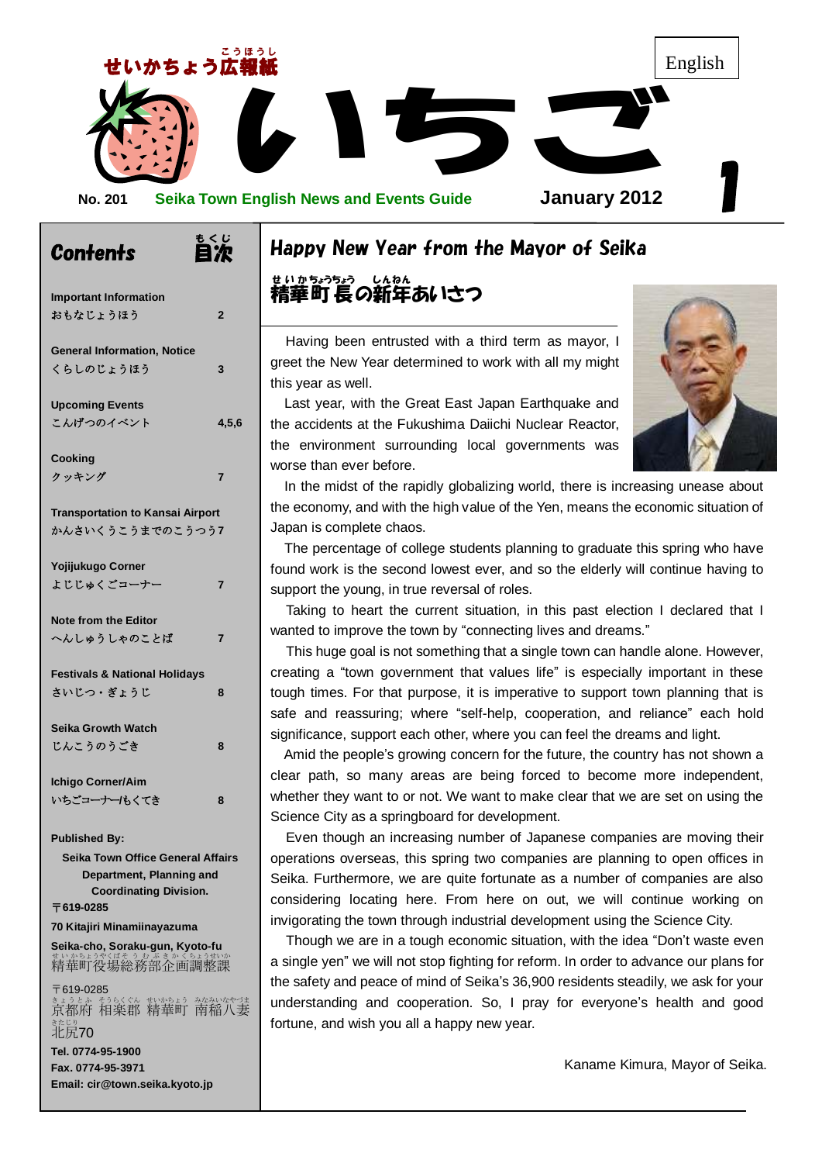

もくじ

| Contents                                                                       | 目次             |
|--------------------------------------------------------------------------------|----------------|
| <b>Important Information</b>                                                   |                |
| おもなじょうほう                                                                       | $\overline{2}$ |
| <b>General Information, Notice</b>                                             |                |
| くらしのじょうほう                                                                      | 3              |
| <b>Upcoming Events</b>                                                         |                |
| こんげつのイベント                                                                      | 4,5,6          |
| Cooking                                                                        |                |
| クッキング                                                                          | 7              |
| <b>Transportation to Kansai Airport</b>                                        |                |
| かんさいくうこうまでのこうつう7                                                               |                |
| Yojijukugo Corner                                                              |                |
| <b>よじじゅくごコーナー</b>                                                              | 7              |
| <b>Note from the Editor</b>                                                    |                |
| へんしゅうしゃのことば                                                                    | 7              |
| <b>Festivals &amp; National Holidays</b>                                       |                |
| さいじつ・ぎょうじ                                                                      | 8              |
| <b>Seika Growth Watch</b>                                                      |                |
| じんこうのうごき                                                                       | 8              |
| Ichigo Corner/Aim                                                              |                |
| いちごコーナー/もくてき                                                                   | 8              |
| <b>Published By:</b>                                                           |                |
| Seika Town Office General Affairs                                              |                |
| Department, Planning and<br><b>Coordinating Division.</b>                      |                |
| 〒619-0285                                                                      |                |
| 70 Kitajiri Minamiinayazuma                                                    |                |
| Seika-cho, Soraku-gun, Kyoto-fu<br>精華町役場総務部企画調整課                               |                |
| 〒619-0285<br>:****************************<br>京都府 相楽郡 精華町 南稲八妻<br>きたじり<br>北尻70 |                |
| Tel. 0774-95-1900                                                              |                |
| Fax. 0774-95-3971<br>Email: cir@town.seika.kyoto.jp                            |                |
|                                                                                |                |

# Happy New Year from the Mayor of Seika

精華町 長の新年あいさつ せ い か ちょうちょう しんねん

Having been entrusted with a third term as mayor, I greet the New Year determined to work with all my might this year as well.

Last year, with the Great East Japan Earthquake and the accidents at the Fukushima Daiichi Nuclear Reactor, the environment surrounding local governments was worse than ever before.

out<br>n of In the midst of the rapidly globalizing world, there is increasing unease about the economy, and with the high value of the Yen, means the economic situation of Japan is complete chaos.

The percentage of college students planning to graduate this spring who have found work is the second lowest ever, and so the elderly will continue having to support the young, in true reversal of roles.

Taking to heart the current situation, in this past election I declared that I wanted to improve the town by "connecting lives and dreams."

This huge goal is not something that a single town can handle alone. However, creating a "town government that values life" is especially important in these tough times. For that purpose, it is imperative to support town planning that is safe and reassuring; where "self-help, cooperation, and reliance" each hold significance, support each other, where you can feel the dreams and light.

clear path, so many areas are being forced to become more independent, whether they want to or not. We want to make clear that we are set on using the Science City as a springboard for development. Amid the people's growing concern for the future, the country has not shown a whether they want to or not. We want to make clear that we are set on using the Science City as a springboard for development.

 Seika. Furthermore, we are quite fortunate as a number of companies are also Even though an increasing number of Japanese companies are moving their operations overseas, this spring two companies are planning to open offices in considering locating here. From here on out, we will continue working on invigorating the town through industrial development using the Science City.

Though we are in a tough economic situation, with the idea "Don't waste even a single yen" we will not stop fighting for reform. In order to advance our plans for the safety and peace of mind of Seika's 36,900 residents steadily, we ask for your understanding and cooperation. So, I pray for everyone's health and good fortune, and wish you all a happy new year.

Kaname Kimura, Mayor of Seika.

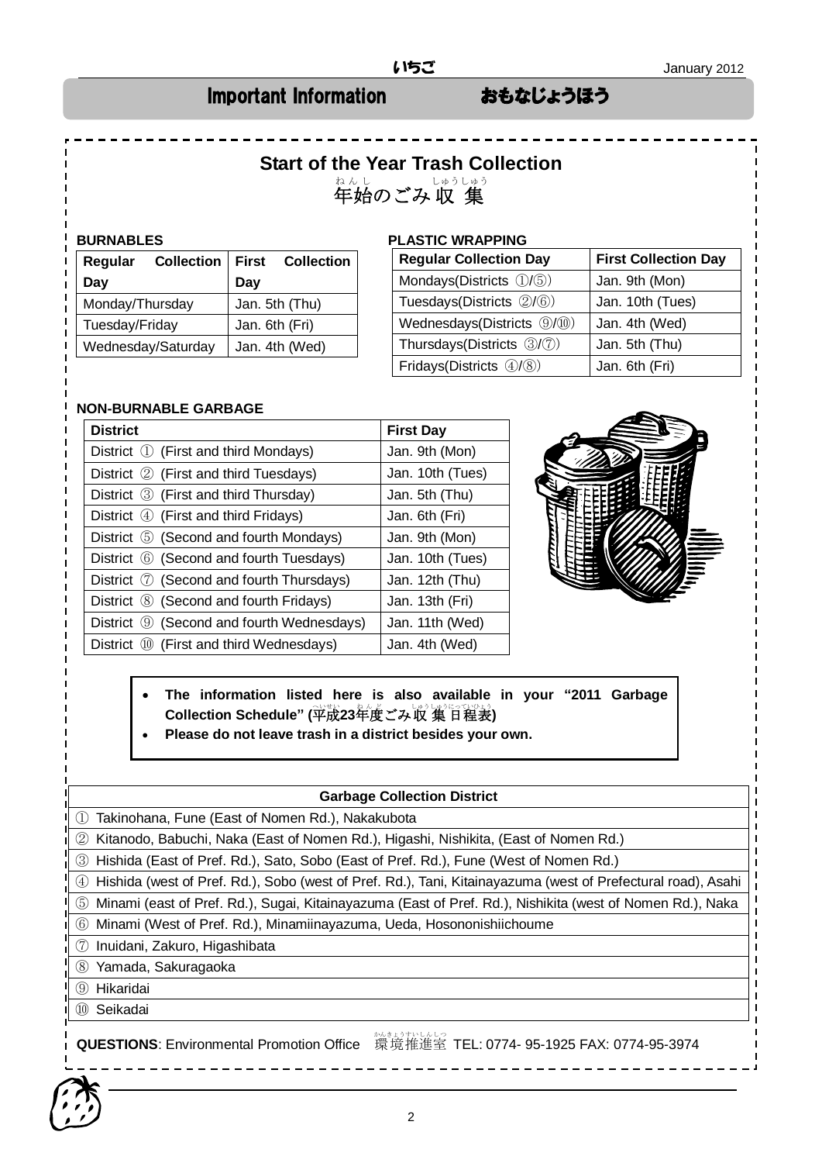### Important Information おもなじょうほう

# **Start of the Year Trash Collection** \*<sub>んし</sub><br>年始のごみ収 集 しゅうしゅう

| Regular            | <b>Collection</b> |                | First Collection |
|--------------------|-------------------|----------------|------------------|
| Day                |                   | Dav            |                  |
| Monday/Thursday    |                   |                | Jan. 5th (Thu)   |
| Tuesday/Friday     |                   | Jan. 6th (Fri) |                  |
| Wednesday/Saturday |                   |                | Jan. 4th (Wed)   |

#### **BURNABLES PLASTIC WRAPPING**

| <b>Regular Collection Day</b> | <b>First Collection Day</b> |
|-------------------------------|-----------------------------|
| Mondays(Districts 1/5)        | Jan. 9th (Mon)              |
| Tuesdays(Districts 2/6)       | Jan. 10th (Tues)            |
| Wednesdays(Districts 9/10)    | Jan. 4th (Wed)              |
| Thursdays(Districts 3/7)      | Jan. 5th (Thu)              |
| Fridays(Districts 4/8)        | Jan. 6th (Fri)              |

#### **NON-BURNABLE GARBAGE**

| <b>District</b>                                  | <b>First Day</b> |
|--------------------------------------------------|------------------|
| District ① (First and third Mondays)             | Jan. 9th (Mon)   |
| District ② (First and third Tuesdays)            | Jan. 10th (Tues) |
| District 3 (First and third Thursday)            | Jan. 5th (Thu)   |
| District 4 (First and third Fridays)             | Jan. 6th (Fri)   |
| District 5 (Second and fourth Mondays)           | Jan. 9th (Mon)   |
| District 6 (Second and fourth Tuesdays)          | Jan. 10th (Tues) |
| District $\oslash$ (Second and fourth Thursdays) | Jan. 12th (Thu)  |
| District 8 (Second and fourth Fridays)           | Jan. 13th (Fri)  |
| District ⑨ (Second and fourth Wednesdays)        | Jan. 11th (Wed)  |
| District 10 (First and third Wednesdays)         | Jan. 4th (Wed)   |

![](_page_1_Picture_11.jpeg)

 **The information listed here is also available in your "2011 Garbage**  Collection Schedule" (平成23年度ごみ収 集 日程表)

**Please do not leave trash in a district besides your own.**

#### **Garbage Collection District**

① Takinohana, Fune (East of Nomen Rd.), Nakakubota

② Kitanodo, Babuchi, Naka (East of Nomen Rd.), Higashi, Nishikita, (East of Nomen Rd.)

③ Hishida (East of Pref. Rd.), Sato, Sobo (East of Pref. Rd.), Fune (West of Nomen Rd.)

④ Hishida (west of Pref. Rd.), Sobo (west of Pref. Rd.), Tani, Kitainayazuma (west of Prefectural road), Asahi

⑤ Minami (east of Pref. Rd.), Sugai, Kitainayazuma (East of Pref. Rd.), Nishikita (west of Nomen Rd.), Naka

⑥ Minami (West of Pref. Rd.), Minamiinayazuma, Ueda, Hosononishiichoume

⑦ Inuidani, Zakuro, Higashibata

⑧ Yamada, Sakuragaoka

⑨ Hikaridai

⑩ Seikadai

QUESTIONS: Environmental Promotion Office 環境推進室 TEL: 0774- 95-1925 FAX: 0774-95-3974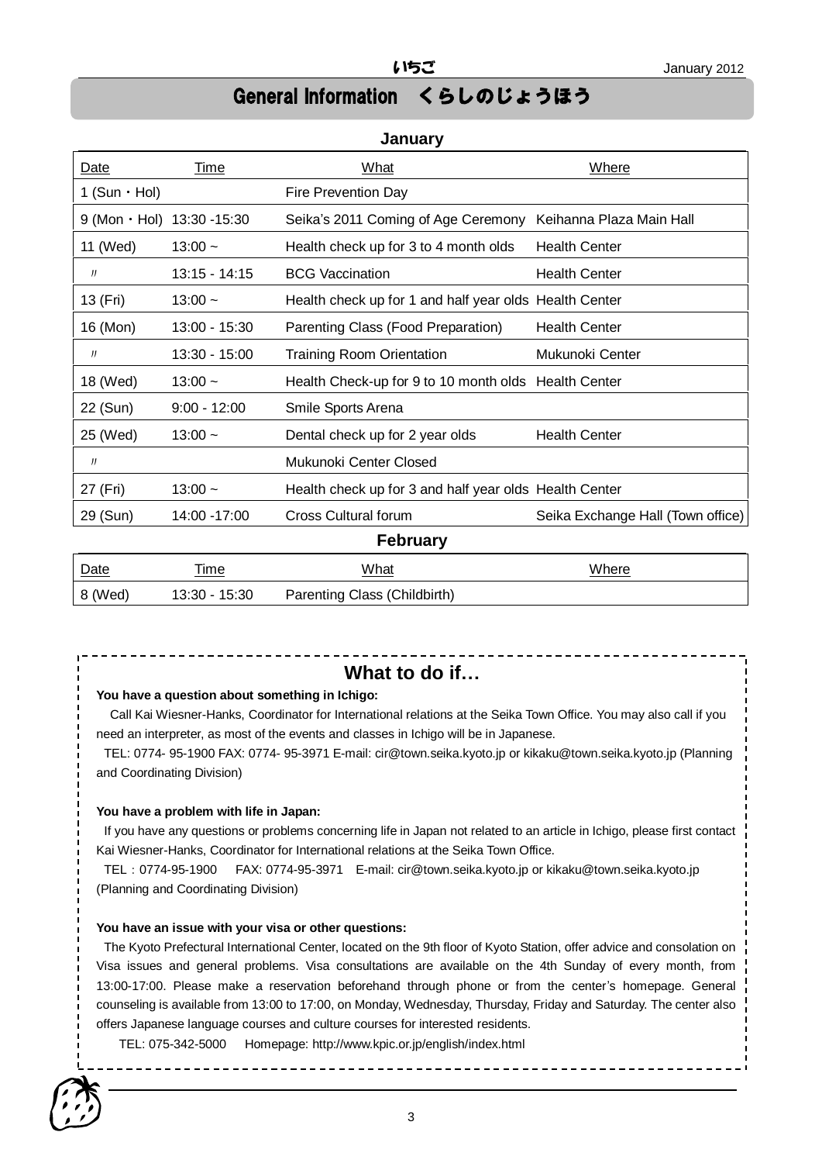# General Information くらしのじょうほう

### **January**

| Date                              | Time            | What                                                   | Where                             |
|-----------------------------------|-----------------|--------------------------------------------------------|-----------------------------------|
| 1 (Sun $\cdot$ Hol)               |                 | Fire Prevention Day                                    |                                   |
| $9 (Mon \cdot Hol) 13:30 - 15:30$ |                 | Seika's 2011 Coming of Age Ceremony                    | Keihanna Plaza Main Hall          |
| 11 (Wed)                          | $13:00 -$       | Health check up for 3 to 4 month olds                  | <b>Health Center</b>              |
| IJ                                | $13:15 - 14:15$ | <b>BCG Vaccination</b>                                 | <b>Health Center</b>              |
| 13 (Fri)                          | $13:00 -$       | Health check up for 1 and half year olds Health Center |                                   |
| 16 (Mon)                          | 13:00 - 15:30   | Parenting Class (Food Preparation)                     | <b>Health Center</b>              |
| IJ                                | 13:30 - 15:00   | <b>Training Room Orientation</b>                       | Mukunoki Center                   |
| 18 (Wed)                          | $13:00 -$       | Health Check-up for 9 to 10 month olds Health Center   |                                   |
| 22 (Sun)                          | $9:00 - 12:00$  | Smile Sports Arena                                     |                                   |
| 25 (Wed)                          | $13:00 -$       | Dental check up for 2 year olds                        | <b>Health Center</b>              |
| J                                 |                 | Mukunoki Center Closed                                 |                                   |
| 27 (Fri)                          | $13:00 -$       | Health check up for 3 and half year olds Health Center |                                   |
| 29 (Sun)                          | 14:00 -17:00    | <b>Cross Cultural forum</b>                            | Seika Exchange Hall (Town office) |
| <b>February</b>                   |                 |                                                        |                                   |
| Date                              | Time            | What                                                   | Where                             |

| Dalo<br>_____ | .                | 1111 Jul<br><u> 1980 - Johann Barnett, fransk politiker (d. 1980)</u> | VIIIU |
|---------------|------------------|-----------------------------------------------------------------------|-------|
| 8 (Wed)       | 13:30 -<br>15:30 | Parenting Class (Childbirth)                                          |       |

#### **What to do if…**

#### **You have a question about something in Ichigo:**

Call Kai Wiesner-Hanks, Coordinator for International relations at the Seika Town Office. You may also call if you need an interpreter, as most of the events and classes in Ichigo will be in Japanese.

TEL: 0774- 95-1900 FAX: 0774- 95-3971 E-mail: cir@town.seika.kyoto.jp or kikaku@town.seika.kyoto.jp (Planning and Coordinating Division)

#### **You have a problem with life in Japan:**

If you have any questions or problems concerning life in Japan not related to an article in Ichigo, please first contact Kai Wiesner-Hanks, Coordinator for International relations at the Seika Town Office.

TEL:0774-95-1900 FAX: 0774-95-3971 E-mail: cir@town.seika.kyoto.jp or kikaku@town.seika.kyoto.jp (Planning and Coordinating Division)

#### **You have an issue with your visa or other questions:**

The Kyoto Prefectural International Center, located on the 9th floor of Kyoto Station, offer advice and consolation on Visa issues and general problems. Visa consultations are available on the 4th Sunday of every month, from 13:00-17:00. Please make a reservation beforehand through phone or from the center's homepage. General counseling is available from 13:00 to 17:00, on Monday, Wednesday, Thursday, Friday and Saturday. The center also offers Japanese language courses and culture courses for interested residents.

TEL: 075-342-5000 Homepage: http://www.kpic.or.jp/english/index.html

![](_page_2_Picture_16.jpeg)

 $\frac{1}{2}$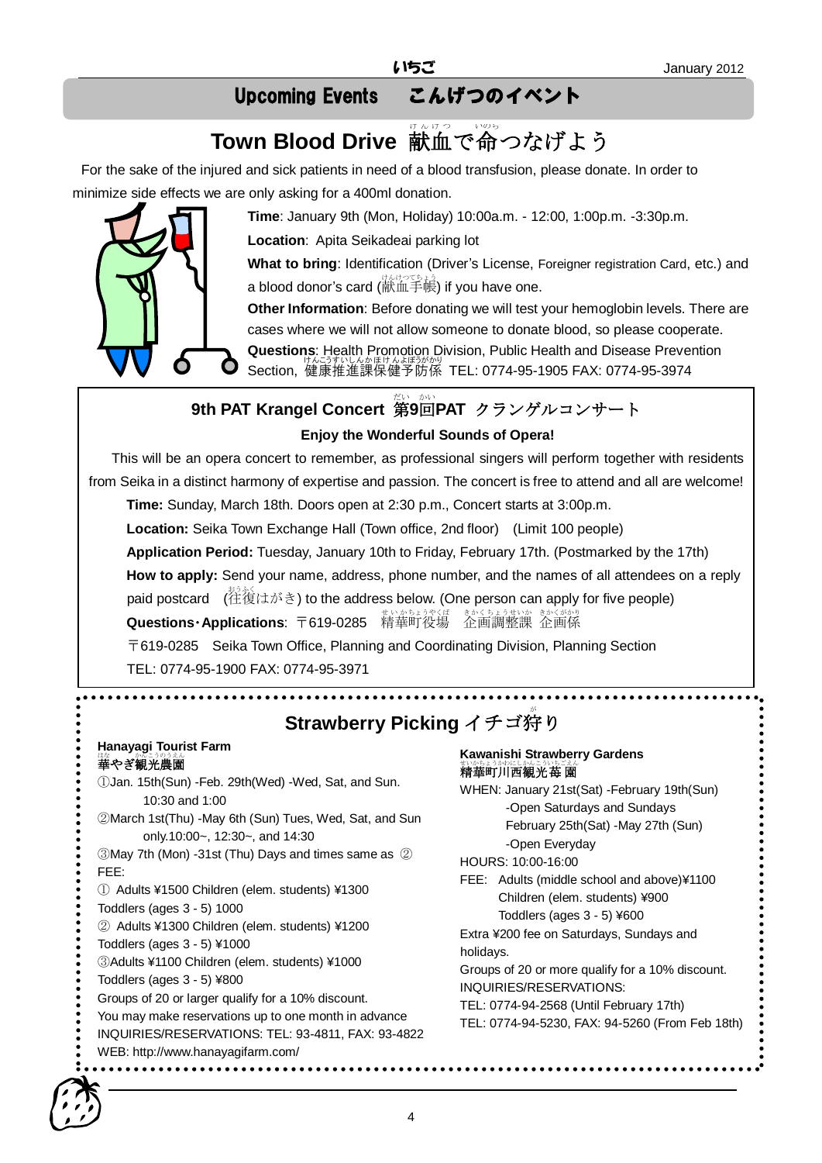# Upcoming Events こんげつのイベント

# Town Blood Drive 献血で命つなげよう

For the sake of the injured and sick patients in need of a blood transfusion, please donate. In order to minimize side effects we are only asking for a 400ml donation.

![](_page_3_Picture_5.jpeg)

**Time**: January 9th (Mon, Holiday) 10:00a.m. - 12:00, 1:00p.m. -3:30p.m.

**Location**: Apita Seikadeai parking lot

**What to bring**: Identification (Driver's License, Foreigner registration Card, etc.) and a blood donor's card (献血手帳) if you have one.

**Other Information**: Before donating we will test your hemoglobin levels. There are cases where we will not allow someone to donate blood, so please cooperate.

**Questions**: Health Promotion Division, Public Health and Disease Prevention Section, 健康推進課保健予防係 TEL: 0774-95-1905 FAX: 0774-95-3974

# **9th PAT Krangel Concert 第9回PAT クランゲルコンサート**

### **Enjoy the Wonderful Sounds of Opera!**

This will be an opera concert to remember, as professional singers will perform together with residents from Seika in a distinct harmony of expertise and passion. The concert is free to attend and all are welcome!

**Time:** Sunday, March 18th. Doors open at 2:30 p.m., Concert starts at 3:00p.m.

**Location:** Seika Town Exchange Hall (Town office, 2nd floor) (Limit 100 people)

**Application Period:** Tuesday, January 10th to Friday, February 17th. (Postmarked by the 17th)

**How to apply:** Send your name, address, phone number, and the names of all attendees on a reply

paid postcard (往復 おうふく はがき) to the address below. (One person can apply for five people) **Questions・Applications**: 〒619-0285 精華町役場 企画調整課 企画係

〒619-0285 Seika Town Office, Planning and Coordinating Division, Planning Section TEL: 0774-95-1900 FAX: 0774-95-3971

# **Strawberry Picking** イチゴ狩り

#### **Hanayagi Tourist Farm**  華 はな やぎ観光 かんこう 農園 のうえん

①Jan. 15th(Sun) -Feb. 29th(Wed) -Wed, Sat, and Sun. 10:30 and 1:00 ②March 1st(Thu) -May 6th (Sun) Tues, Wed, Sat, and Sun only.10:00~, 12:30~, and 14:30 ③May 7th (Mon) -31st (Thu) Days and times same as ② FEE: ① Adults ¥1500 Children (elem. students) ¥1300 Toddlers (ages 3 - 5) 1000 ② Adults ¥1300 Children (elem. students) ¥1200 Toddlers (ages 3 - 5) ¥1000

③Adults ¥1100 Children (elem. students) ¥1000

Toddlers (ages 3 - 5) ¥800

Groups of 20 or larger qualify for a 10% discount.

You may make reservations up to one month in advance

INQUIRIES/RESERVATIONS: TEL: 93-4811, FAX: 93-4822 WEB: http://www.hanayagifarm.com/

#### **Kawanishi Strawberry Gardens**  いかいかい いちごえん 園

WHEN: January 21st(Sat) -February 19th(Sun) -Open Saturdays and Sundays February 25th(Sat) -May 27th (Sun) -Open Everyday

HOURS: 10:00-16:00

FEE: Adults (middle school and above)¥1100 Children (elem. students) ¥900 Toddlers (ages 3 - 5) ¥600

Extra ¥200 fee on Saturdays, Sundays and holidays.

Groups of 20 or more qualify for a 10% discount. INQUIRIES/RESERVATIONS:

TEL: 0774-94-2568 (Until February 17th)

TEL: 0774-94-5230, FAX: 94-5260 (From Feb 18th)

![](_page_3_Picture_36.jpeg)

(Online reservations available)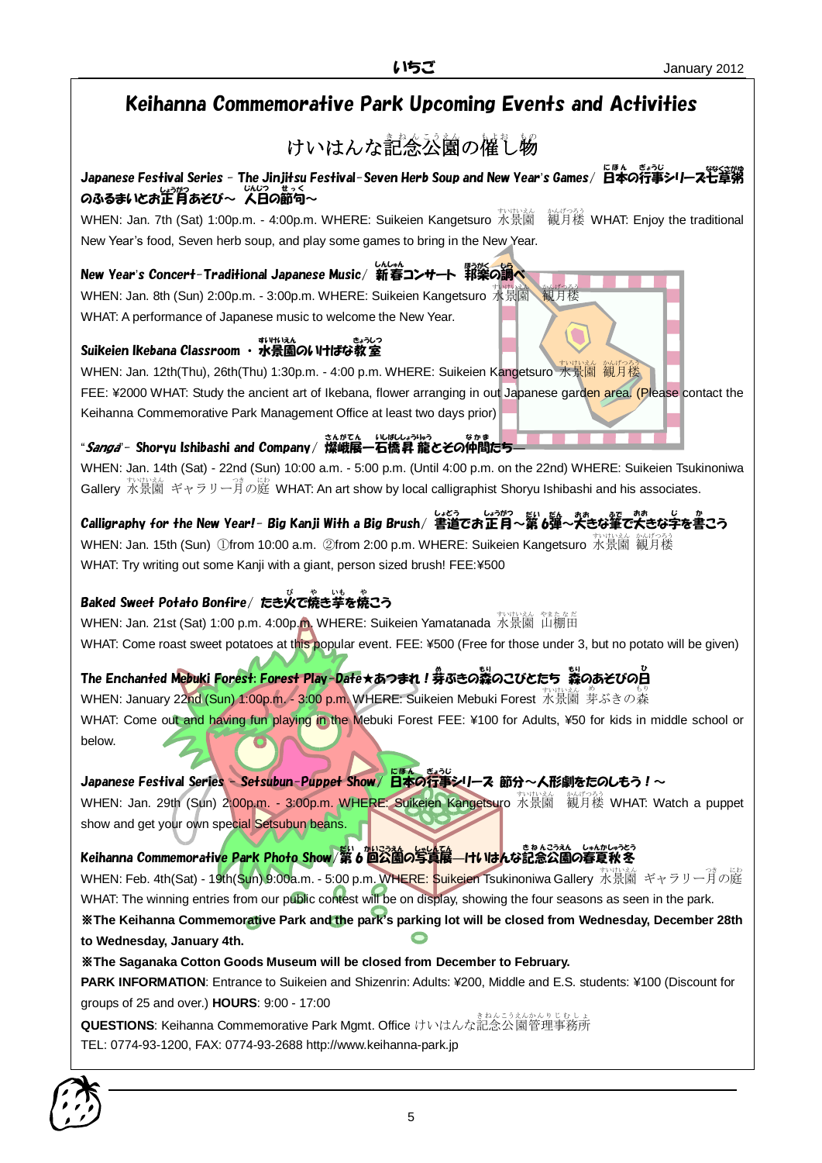# Keihanna Commemorative Park Upcoming Events and Activities

#### けいはんな記念公園の催し物 e<br>S

Japanese Festival Series - The Jinjitsu Festival-Seven Herb Soup and New Year's Games/ 日本の行事シリーズ七草粥 Qふるまいとお正月あそび~ 人日Q節句~<br>○

WHEN: Jan. 7th (Sat) 1:00p.m. - 4:00p.m. WHERE: Suikeien Kangetsuro 水景園 観月楼 WHAT: Enjoy the traditional New Year's food, Seven herb soup, and play some games to bring in the New Year.

\*\*/げつろう<br><mark>観</mark>月楼

New Year's Concert-Traditional Japanese Music/ 新春コンサート 郓楽の調べ

WHEN: Jan. 8th (Sun) 2:00p.m. - 3:00p.m. WHERE: Suikeien Kangetsuro 水景園 WHAT: A performance of Japanese music to welcome the New Year.

### - تەرەبى<del>قىلىدىنى</del><br>Suikeien Ikebana Classroom ・水景園のいけばな教室

wHEN: Jan. 12th(Thu), 26th(Thu) 1:30p.m. - 4:00 p.m. WHERE: Suikeien Kangetsuro 水景園 観月楼 FEE: ¥2000 WHAT: Study the ancient art of Ikebana, flower arranging in out Japanese garden area. (Please contact the Keihanna Commemorative Park Management Office at least two days prior)

<sub>こんがてん いばしょうほう<br>――Shoryu Ishibashi and Company/ 燦峨展一石橋昇 龍とその仲間たち――</sub>

WHEN: Jan. 14th (Sat) - 22nd (Sun) 10:00 a.m. - 5:00 p.m. (Until 4:00 p.m. on the 22nd) WHERE: Suikeien Tsukinoniwa Gallery 水景園 ギャラリー<sup>3</sup> の庭 WHAT: An art show by local calligraphist Shoryu Ishibashi and his associates.

Calligraphy for the New Year!- Big Kanji With a Big Brush/ 書道でお正月~第6弾~犬きな筆で大きな字を書こう wHEN: Jan. 15th (Sun) ①from 10:00 a.m. ②from 2:00 p.m. WHERE: Suikeien Kangetsuro 水景園 観月楼 WHAT: Try writing out some Kanji with a giant, person sized brush! FEE:¥500

### Baked Sweet Potato Bonfire/ たき火で焼き芋を焼こう

WHEN: Jan. 21st (Sat) 1:00 p.m. 4:00p.<mark>m.</mark> WHERE: Suikeien Yamatanada 水景園 山棚田 WHAT: Come roast sweet potatoes at this popular event. FEE: ¥500 (Free for those under 3, but no potato will be given)

## The Enchanted M<mark>ebuki Forest: Forest Play-D</mark>ate★あつまれ!券ぶきの蒸のこびとたち <br>○ 『 **キー** イングライン

whEN: January 22nd (Sun) 1:00p.m. - 3:<mark>00 p.m.</mark> WHERE: Suikeien Mebuki Forest 水景園 芽ぶきの森 WHAT: Come out and having fun playing in the Mebuki Forest FEE: ¥100 for Adults, ¥50 for kids in middle school or below.

Japanese Festival Series - Setsubun-Puppet Show/日本の行事シリース 節分~人形劇をたのしもう!~

WHEN: Jan. 29th (Sun) 2:00p.m. - 3:00p.m. WHERE: Suikeien Kangetsuro 水景園 観月楼 WHAT: Watch a puppet show and get your own special Setsubun beans.

Keihanna Commemorativ<mark>e Park Photo Show</mark> 第 6 回公園の写真展―けいはんな記念公園の春夏秋冬

wHEN: Feb. 4th(Sat) - 19th(<mark>Su</mark>n) 9:00a.m. - 5:00 p.m. WHERE: Suikeien Tsukinoniwa Gallery 水景園 ギャラリー月の庭 WHAT: The winning entries from our public contest will be on display, showing the four seasons as seen in the park.

※**The Keihanna Commemorative Park and the park's parking lot will be closed from Wednesday, December 28th to Wednesday, January 4th.**

※**The Saganaka Cotton Goods Museum will be closed from December to February.**

**PARK INFORMATION**: Entrance to Suikeien and Shizenrin: Adults: ¥200, Middle and E.S. students: ¥100 (Discount for groups of 25 and over.) **HOURS**: 9:00 - 17:00

**QUESTIONS**: Keihanna Commemorative Park Mgmt. Office けいはんな記念 公園 管理 事務所 きねん こうえん かんり じむしょ TEL: 0774-93-1200, FAX: 0774-93-2688 http://www.keihanna-park.jp

![](_page_4_Picture_25.jpeg)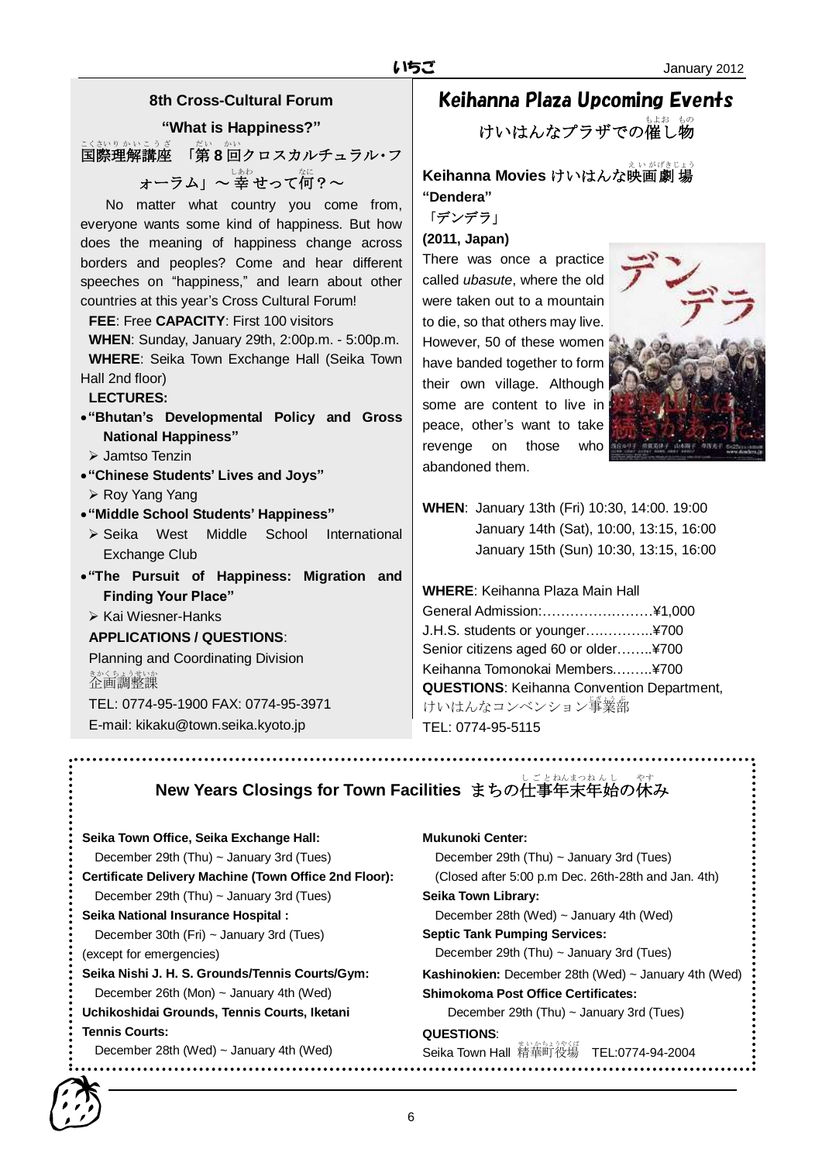### **8th Cross-Cultural Forum**

**"What is Happiness?"**

<u>こくなりかいこうざ</u><br>国際理解講座 「第8回クロスカルチュラル・フ ォーラム」~ 幸 せって何?~

No matter what country you come from, everyone wants some kind of happiness. But how does the meaning of happiness change across borders and peoples? Come and hear different speeches on "happiness," and learn about other countries at this year's Cross Cultural Forum!

#### **FEE**: Free **CAPACITY**: First 100 visitors

**WHEN**: Sunday, January 29th, 2:00p.m. - 5:00p.m. **WHERE**: Seika Town Exchange Hall (Seika Town Hall 2nd floor)

#### **LECTURES:**

- **"Bhutan's Developmental Policy and Gross National Happiness"**
	- Jamtso Tenzin
- **"Chinese Students' Lives and Joys"**
	- ▶ Roy Yang Yang
- **"Middle School Students' Happiness"**
	- Seika West Middle School International Exchange Club
- **"The Pursuit of Happiness: Migration and Finding Your Place"**
	- $\triangleright$  Kai Wiesner-Hanks

#### **APPLICATIONS / QUESTIONS**:

Planning and Coordinating Division 企画調整課 きかくちょうせいか TEL: 0774-95-1900 FAX: 0774-95-3971 E-mail: kikaku@town.seika.kyoto.jp

# Keihanna Plaza Upcoming Events

けいはんなプラザでの催し物

## **Keihanna Movies** けいはんな映画劇場 **"Dendera"**

「デンデラ」

**(2011, Japan)**

There was once a practice called *ubasute*, where the old were taken out to a mountain to die, so that others may live. However, 50 of these women have banded together to form their own village. Although some are content to live in peace, other's want to take revenge on those who abandoned them.

![](_page_5_Picture_25.jpeg)

**WHEN**: January 13th (Fri) 10:30, 14:00. 19:00 January 14th (Sat), 10:00, 13:15, 16:00 January 15th (Sun) 10:30, 13:15, 16:00

**WHERE**: Keihanna Plaza Main Hall

General Admission:……………………¥1,000 J.H.S. students or younger….………..¥700 Senior citizens aged 60 or older……..¥700 Keihanna Tomonokai Members.……..¥700 **QUESTIONS**: Keihanna Convention Department, けいはんなコンベンション<sup>学業部</sup> TEL: 0774-95-5115

**New Years Closings for Town Facilities** まちの仕事年末年始の休み

| Seika Town Office, Seika Exchange Hall:               | <b>Mukunoki Center:</b>                                          |
|-------------------------------------------------------|------------------------------------------------------------------|
| December 29th (Thu) $\sim$ January 3rd (Tues)         | December 29th (Thu) $\sim$ January 3rd (Tues)                    |
| Certificate Delivery Machine (Town Office 2nd Floor): | (Closed after 5:00 p.m Dec. 26th-28th and Jan. 4th)              |
| December 29th $(Thu) \sim$ January 3rd $(Tues)$       | Seika Town Library:                                              |
| Seika National Insurance Hospital:                    | December 28th (Wed) $\sim$ January 4th (Wed)                     |
| December 30th $(Fri) \sim$ January 3rd (Tues)         | <b>Septic Tank Pumping Services:</b>                             |
| (except for emergencies)                              | December 29th (Thu) $\sim$ January 3rd (Tues)                    |
| Seika Nishi J. H. S. Grounds/Tennis Courts/Gym:       | <b>Kashinokien:</b> December 28th (Wed) $\sim$ January 4th (Wed) |
| December 26th (Mon) $\sim$ January 4th (Wed)          | <b>Shimokoma Post Office Certificates:</b>                       |
| Uchikoshidai Grounds, Tennis Courts, Iketani          | December 29th $(Thu) \sim$ January 3rd $(Tues)$                  |
| <b>Tennis Courts:</b>                                 | QUESTIONS:                                                       |
| December 28th (Wed) $\sim$ January 4th (Wed)          | Seika Town Hall 精華町役場 TEL:0774-94-2004                           |

![](_page_5_Picture_31.jpeg)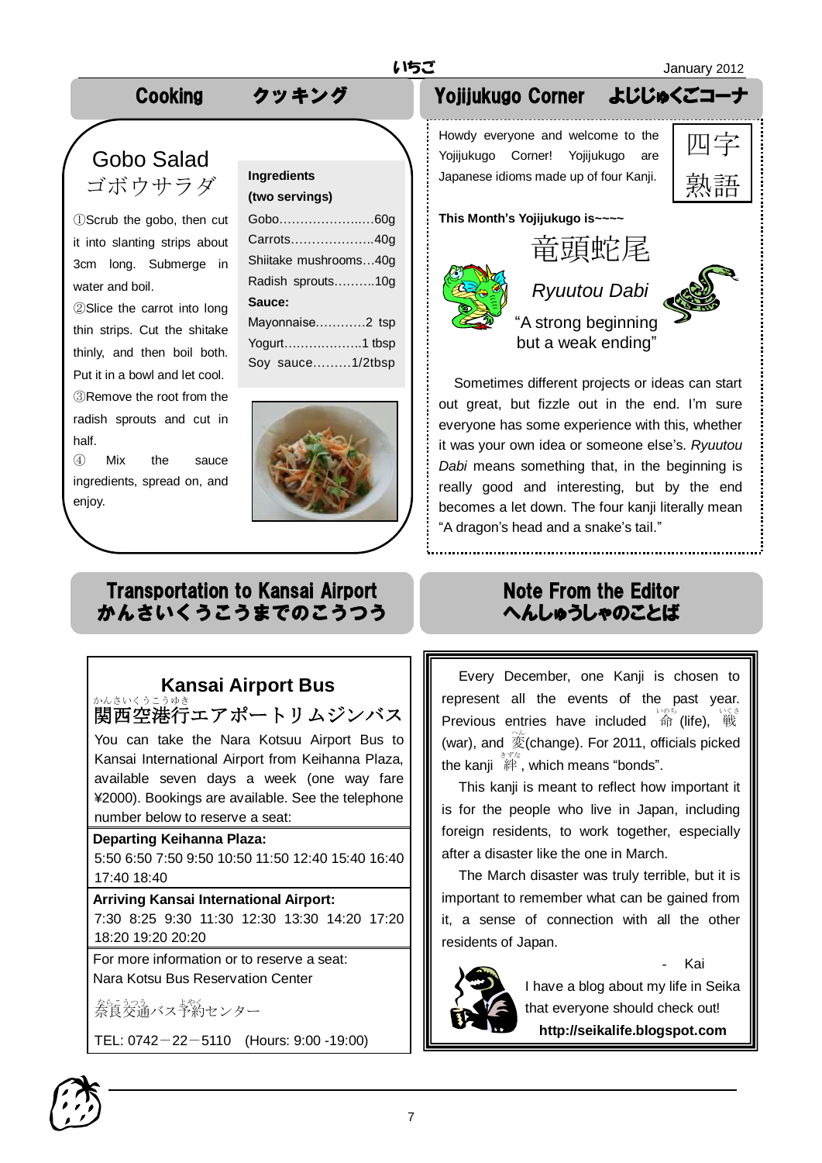## Cooking クッキング

# Gobo Salad ゴボウサラダ

①Scrub the gobo, then cut it into slanting strips about 3cm long. Submerge in water and boil.

②Slice the carrot into long thin strips. Cut the shitake thinly, and then boil both. Put it in a bowl and let cool. ③Remove the root from the radish sprouts and cut in half.

④ Mix the sauce ingredients, spread on, and enjoy.

# **(two servings)**

| Gobo60g                                                                                                                                                                                                                                                                                                                                                                       |  |
|-------------------------------------------------------------------------------------------------------------------------------------------------------------------------------------------------------------------------------------------------------------------------------------------------------------------------------------------------------------------------------|--|
| Carrots40g                                                                                                                                                                                                                                                                                                                                                                    |  |
| Shiitake mushrooms40g                                                                                                                                                                                                                                                                                                                                                         |  |
| Radish sprouts10g                                                                                                                                                                                                                                                                                                                                                             |  |
| Sauce:                                                                                                                                                                                                                                                                                                                                                                        |  |
| Mayonnaise2 tsp                                                                                                                                                                                                                                                                                                                                                               |  |
| $\mathcal{M}_{\mathbf{z}}$ and $\mathcal{M}_{\mathbf{z}}$ and $\mathcal{M}_{\mathbf{z}}$ and $\mathcal{M}_{\mathbf{z}}$ and $\mathcal{M}_{\mathbf{z}}$ are $\mathcal{M}_{\mathbf{z}}$ and $\mathcal{M}_{\mathbf{z}}$ are $\mathcal{M}_{\mathbf{z}}$ and $\mathcal{M}_{\mathbf{z}}$ are $\mathcal{M}_{\mathbf{z}}$ and $\mathcal{M}_{\mathbf{z}}$ are $\mathcal{M}_{\mathbf{z$ |  |

Yogurt……………….1 tbsp Soy sauce………1/2tbsp

![](_page_6_Picture_10.jpeg)

# Transportation to Kansai Airport かんさいくうこうまでのこうつう

#### **Kansai Airport Bus** かんさいくうこうゆき

関西空港行 エアポートリムジンバス

You can take the Nara Kotsuu Airport Bus to Kansai International Airport from Keihanna Plaza, available seven days a week (one way fare ¥2000). Bookings are available. See the telephone number below to reserve a seat:

### **Departing Keihanna Plaza:**

5:50 6:50 7:50 9:50 10:50 11:50 12:40 15:40 16:40 17:40 18:40

#### **Arriving Kansai International Airport:**

7:30 8:25 9:30 11:30 12:30 13:30 14:20 17:20 18:20 19:20 20:20

For more information or to reserve a seat: Nara Kotsu Bus Reservation Center

をらえる。<br>奈良交通バス予約センター

TEL: 0742-22-5110 (Hours: 9:00 -19:00)

# Yojijukugo Corner よじじゅくごコ

Howdy everyone and welcome to the Yojijukugo Corner! Yojijukugo are **Ingredients**<br>
(**two servings**)<br>  $\begin{matrix} \vdots \end{matrix}$  Japanese idioms made up of four Kanji. | 京太日口 ー

![](_page_6_Picture_24.jpeg)

**This Month's Yojijukugo is~~~~**

![](_page_6_Picture_26.jpeg)

# *Ryuutou Dabi*

![](_page_6_Picture_28.jpeg)

"A strong beginning but a weak ending"

Sometimes different projects or ideas can start

out great, but fizzle out in the end. I'm sure everyone has some experience with this, whether it was your own idea or someone else's. *Ryuutou Dabi* means something that, in the beginning is really good and interesting, but by the end becomes a let down. The four kanji literally mean "A dragon's head and a snake's tail."

# Note From the Editor へんしゅうしゃのことば

Every December, one Kanji is chosen to represent all the events of the past year. Previous entries have included 命 (life), 戦 (war), and  $\hat{\mathcal{Z}}$ (change). For 2011, officials picked the kanji 絆 きずな , which means "bonds".

This kanji is meant to reflect how important it is for the people who live in Japan, including foreign residents, to work together, especially after a disaster like the one in March.

The March disaster was truly terrible, but it is important to remember what can be gained from it, a sense of connection with all the other residents of Japan.

![](_page_6_Picture_36.jpeg)

- Kai

that everyone should check out! **http://seikalife.blogspot.com**

![](_page_6_Picture_39.jpeg)